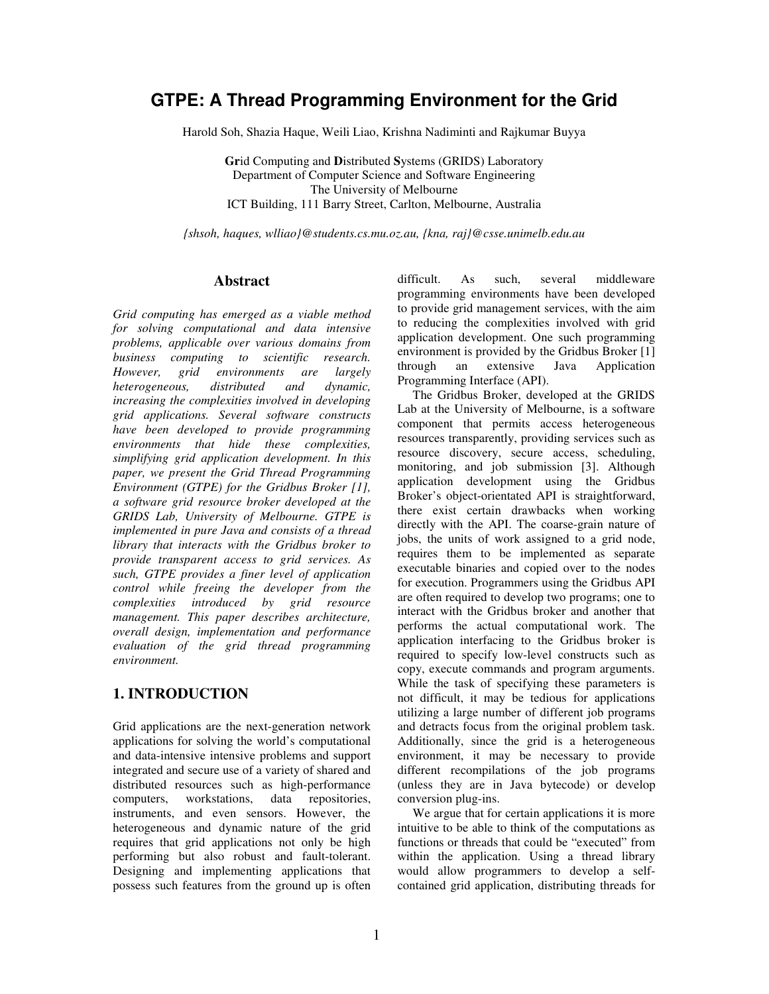# **GTPE: A Thread Programming Environment for the Grid**

Harold Soh, Shazia Haque, Weili Liao, Krishna Nadiminti and Rajkumar Buyya

**Gr**id Computing and **D**istributed **S**ystems (GRIDS) Laboratory Department of Computer Science and Software Engineering The University of Melbourne ICT Building, 111 Barry Street, Carlton, Melbourne, Australia

*{shsoh, haques, wlliao}@students.cs.mu.oz.au, {kna, raj}@csse.unimelb.edu.au* 

#### **Abstract**

*Grid computing has emerged as a viable method for solving computational and data intensive problems, applicable over various domains from business computing to scientific research. However, grid environments are largely heterogeneous, distributed and dynamic, increasing the complexities involved in developing grid applications. Several software constructs have been developed to provide programming environments that hide these complexities, simplifying grid application development. In this paper, we present the Grid Thread Programming Environment (GTPE) for the Gridbus Broker [1], a software grid resource broker developed at the GRIDS Lab, University of Melbourne. GTPE is implemented in pure Java and consists of a thread library that interacts with the Gridbus broker to provide transparent access to grid services. As such, GTPE provides a finer level of application control while freeing the developer from the complexities introduced by grid resource management. This paper describes architecture, overall design, implementation and performance evaluation of the grid thread programming environment.* 

### **1. INTRODUCTION**

Grid applications are the next-generation network applications for solving the world's computational and data-intensive intensive problems and support integrated and secure use of a variety of shared and distributed resources such as high-performance computers, workstations, data repositories, instruments, and even sensors. However, the heterogeneous and dynamic nature of the grid requires that grid applications not only be high performing but also robust and fault-tolerant. Designing and implementing applications that possess such features from the ground up is often difficult. As such, several middleware programming environments have been developed to provide grid management services, with the aim to reducing the complexities involved with grid application development. One such programming environment is provided by the Gridbus Broker [1]<br>through an extensive Java Application through an extensive Java Application Programming Interface (API).

The Gridbus Broker, developed at the GRIDS Lab at the University of Melbourne, is a software component that permits access heterogeneous resources transparently, providing services such as resource discovery, secure access, scheduling, monitoring, and job submission [3]. Although application development using the Gridbus Broker's object-orientated API is straightforward, there exist certain drawbacks when working directly with the API. The coarse-grain nature of jobs, the units of work assigned to a grid node, requires them to be implemented as separate executable binaries and copied over to the nodes for execution. Programmers using the Gridbus API are often required to develop two programs; one to interact with the Gridbus broker and another that performs the actual computational work. The application interfacing to the Gridbus broker is required to specify low-level constructs such as copy, execute commands and program arguments. While the task of specifying these parameters is not difficult, it may be tedious for applications utilizing a large number of different job programs and detracts focus from the original problem task. Additionally, since the grid is a heterogeneous environment, it may be necessary to provide different recompilations of the job programs (unless they are in Java bytecode) or develop conversion plug-ins.

We argue that for certain applications it is more intuitive to be able to think of the computations as functions or threads that could be "executed" from within the application. Using a thread library would allow programmers to develop a selfcontained grid application, distributing threads for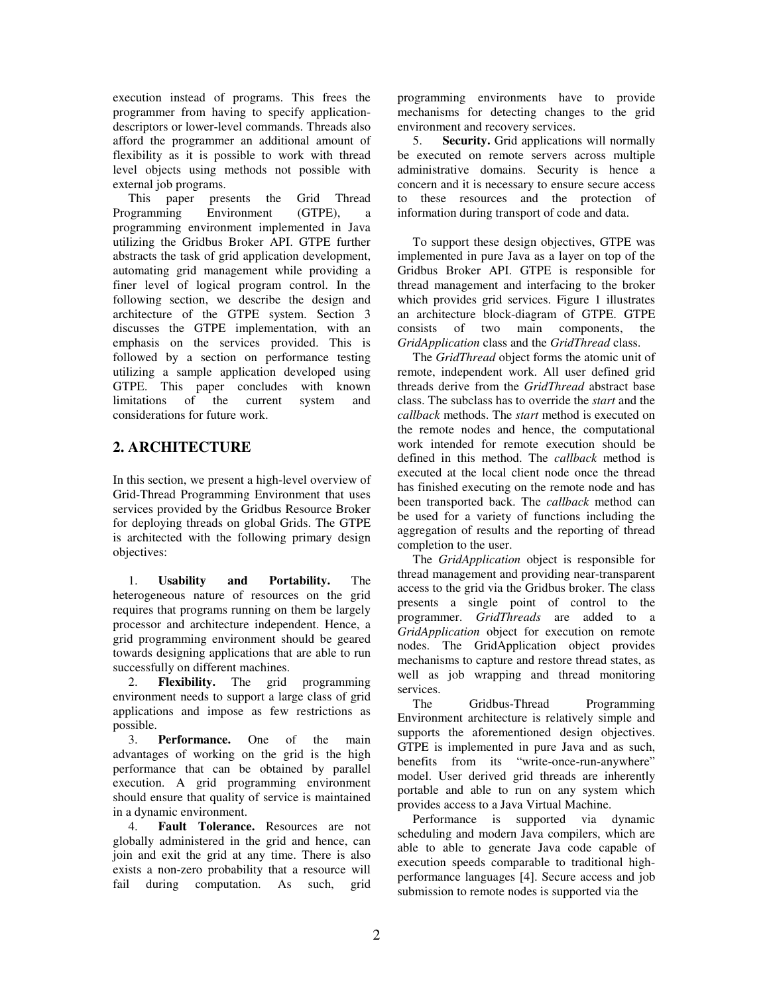execution instead of programs. This frees the programmer from having to specify applicationdescriptors or lower-level commands. Threads also afford the programmer an additional amount of flexibility as it is possible to work with thread level objects using methods not possible with external job programs.

This paper presents the Grid Thread Programming Environment (GTPE), a programming environment implemented in Java utilizing the Gridbus Broker API. GTPE further abstracts the task of grid application development, automating grid management while providing a finer level of logical program control. In the following section, we describe the design and architecture of the GTPE system. Section 3 discusses the GTPE implementation, with an emphasis on the services provided. This is followed by a section on performance testing utilizing a sample application developed using GTPE. This paper concludes with known limitations of the current system and considerations for future work.

# **2. ARCHITECTURE**

In this section, we present a high-level overview of Grid-Thread Programming Environment that uses services provided by the Gridbus Resource Broker for deploying threads on global Grids. The GTPE is architected with the following primary design objectives:

1. **Usability and Portability.** The heterogeneous nature of resources on the grid requires that programs running on them be largely processor and architecture independent. Hence, a grid programming environment should be geared towards designing applications that are able to run successfully on different machines.

2. **Flexibility.** The grid programming environment needs to support a large class of grid applications and impose as few restrictions as possible.

3. **Performance.** One of the main advantages of working on the grid is the high performance that can be obtained by parallel execution. A grid programming environment should ensure that quality of service is maintained in a dynamic environment.

4. **Fault Tolerance.** Resources are not globally administered in the grid and hence, can join and exit the grid at any time. There is also exists a non-zero probability that a resource will fail during computation. As such, grid programming environments have to provide mechanisms for detecting changes to the grid environment and recovery services.

5. **Security.** Grid applications will normally be executed on remote servers across multiple administrative domains. Security is hence a concern and it is necessary to ensure secure access to these resources and the protection of information during transport of code and data.

To support these design objectives, GTPE was implemented in pure Java as a layer on top of the Gridbus Broker API. GTPE is responsible for thread management and interfacing to the broker which provides grid services. Figure 1 illustrates an architecture block-diagram of GTPE. GTPE consists of two main components, the *GridApplication* class and the *GridThread* class.

The *GridThread* object forms the atomic unit of remote, independent work. All user defined grid threads derive from the *GridThread* abstract base class. The subclass has to override the *start* and the *callback* methods. The *start* method is executed on the remote nodes and hence, the computational work intended for remote execution should be defined in this method. The *callback* method is executed at the local client node once the thread has finished executing on the remote node and has been transported back. The *callback* method can be used for a variety of functions including the aggregation of results and the reporting of thread completion to the user.

The *GridApplication* object is responsible for thread management and providing near-transparent access to the grid via the Gridbus broker. The class presents a single point of control to the programmer. *GridThreads* are added to a *GridApplication* object for execution on remote nodes. The GridApplication object provides mechanisms to capture and restore thread states, as well as job wrapping and thread monitoring services.

The Gridbus-Thread Programming Environment architecture is relatively simple and supports the aforementioned design objectives. GTPE is implemented in pure Java and as such, benefits from its "write-once-run-anywhere" model. User derived grid threads are inherently portable and able to run on any system which provides access to a Java Virtual Machine.

Performance is supported via dynamic scheduling and modern Java compilers, which are able to able to generate Java code capable of execution speeds comparable to traditional highperformance languages [4]. Secure access and job submission to remote nodes is supported via the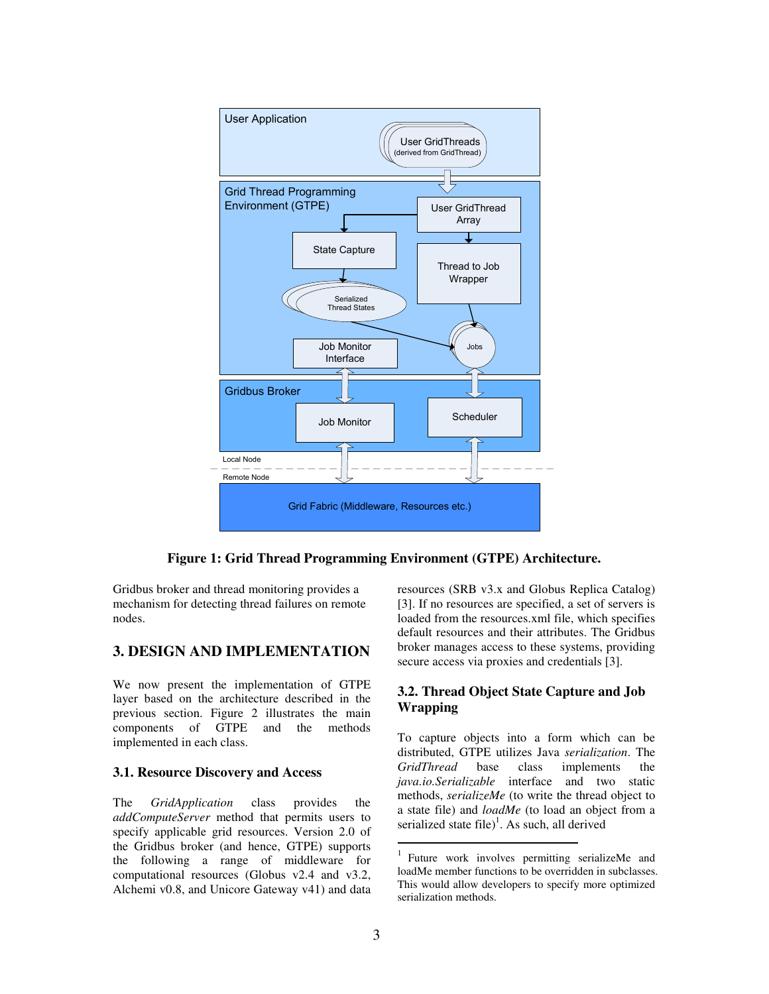

**Figure 1: Grid Thread Programming Environment (GTPE) Architecture.** 

Gridbus broker and thread monitoring provides a mechanism for detecting thread failures on remote nodes.

### **3. DESIGN AND IMPLEMENTATION**

We now present the implementation of GTPE layer based on the architecture described in the previous section. Figure 2 illustrates the main components of GTPE and the methods implemented in each class.

#### **3.1. Resource Discovery and Access**

The *GridApplication* class provides the *addComputeServer* method that permits users to specify applicable grid resources. Version 2.0 of the Gridbus broker (and hence, GTPE) supports the following a range of middleware for computational resources (Globus v2.4 and v3.2, Alchemi v0.8, and Unicore Gateway v41) and data

resources (SRB v3.x and Globus Replica Catalog) [3]. If no resources are specified, a set of servers is loaded from the resources.xml file, which specifies default resources and their attributes. The Gridbus broker manages access to these systems, providing secure access via proxies and credentials [3].

### **3.2. Thread Object State Capture and Job Wrapping**

To capture objects into a form which can be distributed, GTPE utilizes Java *serialization*. The *GridThread* base class implements the *java.io.Serializable* interface and two static methods, *serializeMe* (to write the thread object to a state file) and *loadMe* (to load an object from a serialized state file $^{1}$ . As such, all derived

 $\overline{a}$ 

<sup>1</sup> Future work involves permitting serializeMe and loadMe member functions to be overridden in subclasses. This would allow developers to specify more optimized serialization methods.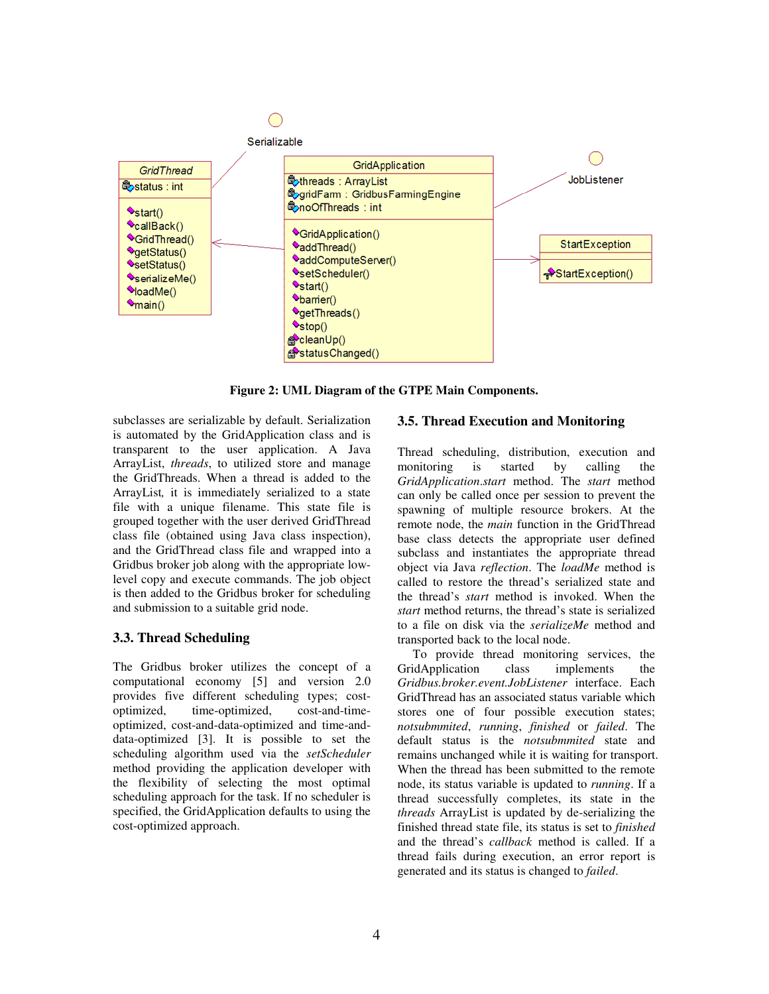

**Figure 2: UML Diagram of the GTPE Main Components.** 

subclasses are serializable by default. Serialization is automated by the GridApplication class and is transparent to the user application. A Java ArrayList, *threads*, to utilized store and manage the GridThreads. When a thread is added to the ArrayList*,* it is immediately serialized to a state file with a unique filename. This state file is grouped together with the user derived GridThread class file (obtained using Java class inspection), and the GridThread class file and wrapped into a Gridbus broker job along with the appropriate lowlevel copy and execute commands. The job object is then added to the Gridbus broker for scheduling and submission to a suitable grid node.

### **3.3. Thread Scheduling**

The Gridbus broker utilizes the concept of a computational economy [5] and version 2.0 provides five different scheduling types; costoptimized, time-optimized, cost-and-timeoptimized, cost-and-data-optimized and time-anddata-optimized [3]. It is possible to set the scheduling algorithm used via the *setScheduler* method providing the application developer with the flexibility of selecting the most optimal scheduling approach for the task. If no scheduler is specified, the GridApplication defaults to using the cost-optimized approach.

### **3.5. Thread Execution and Monitoring**

Thread scheduling, distribution, execution and monitoring is started by calling the *GridApplication*.*start* method. The *start* method can only be called once per session to prevent the spawning of multiple resource brokers. At the remote node, the *main* function in the GridThread base class detects the appropriate user defined subclass and instantiates the appropriate thread object via Java *reflection*. The *loadMe* method is called to restore the thread's serialized state and the thread's *start* method is invoked. When the *start* method returns, the thread's state is serialized to a file on disk via the *serializeMe* method and transported back to the local node.

To provide thread monitoring services, the GridApplication class implements the *Gridbus.broker.event.JobListener* interface. Each GridThread has an associated status variable which stores one of four possible execution states; *notsubmmited*, *running*, *finished* or *failed*. The default status is the *notsubmmited* state and remains unchanged while it is waiting for transport. When the thread has been submitted to the remote node, its status variable is updated to *running*. If a thread successfully completes, its state in the *threads* ArrayList is updated by de-serializing the finished thread state file, its status is set to *finished* and the thread's *callback* method is called. If a thread fails during execution, an error report is generated and its status is changed to *failed*.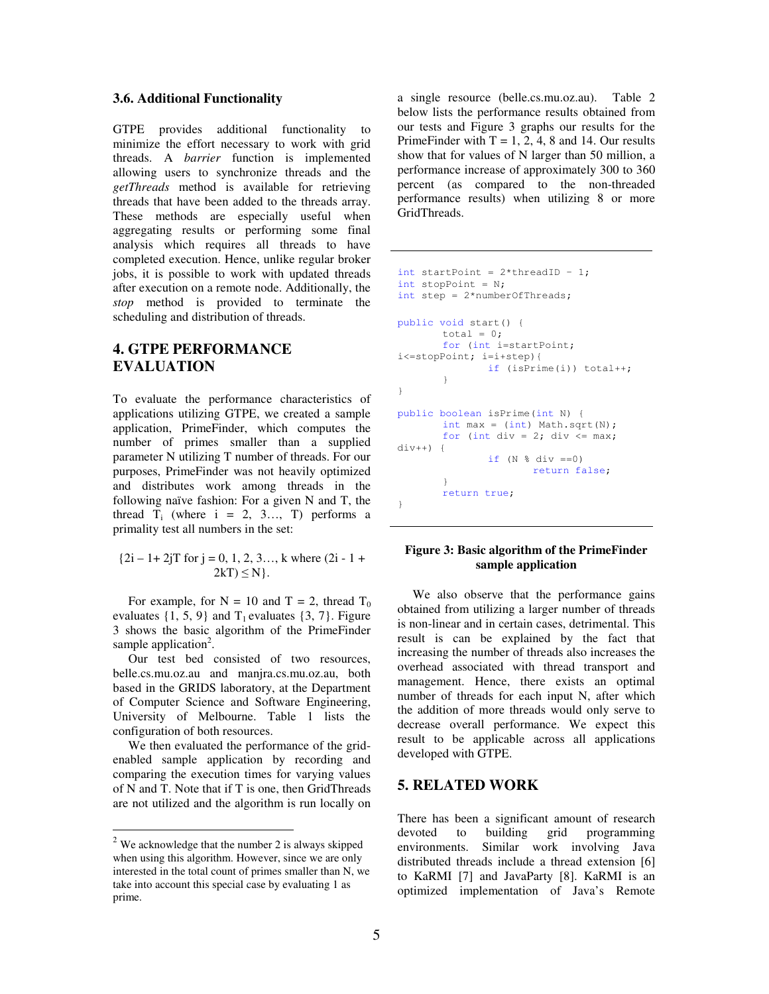#### **3.6. Additional Functionality**

GTPE provides additional functionality to minimize the effort necessary to work with grid threads. A *barrier* function is implemented allowing users to synchronize threads and the *getThreads* method is available for retrieving threads that have been added to the threads array. These methods are especially useful when aggregating results or performing some final analysis which requires all threads to have completed execution. Hence, unlike regular broker jobs, it is possible to work with updated threads after execution on a remote node. Additionally, the *stop* method is provided to terminate the scheduling and distribution of threads.

# **4. GTPE PERFORMANCE EVALUATION**

To evaluate the performance characteristics of applications utilizing GTPE, we created a sample application, PrimeFinder, which computes the number of primes smaller than a supplied parameter N utilizing T number of threads. For our purposes, PrimeFinder was not heavily optimized and distributes work among threads in the following naïve fashion: For a given N and T, the thread  $T_i$  (where  $i = 2, 3..., T$ ) performs a primality test all numbers in the set:

```
{2i - 1 + 2jT} for j = 0, 1, 2, 3, \dots, k where (2i - 1 +2kT) \leq N.
```
For example, for  $N = 10$  and  $T = 2$ , thread  $T_0$ evaluates  $\{1, 5, 9\}$  and  $T_1$  evaluates  $\{3, 7\}$ . Figure 3 shows the basic algorithm of the PrimeFinder sample application<sup>2</sup>.

Our test bed consisted of two resources, belle.cs.mu.oz.au and manjra.cs.mu.oz.au, both based in the GRIDS laboratory, at the Department of Computer Science and Software Engineering, University of Melbourne. Table 1 lists the configuration of both resources.

We then evaluated the performance of the gridenabled sample application by recording and comparing the execution times for varying values of N and T. Note that if T is one, then GridThreads are not utilized and the algorithm is run locally on

 $\overline{a}$ 

a single resource (belle.cs.mu.oz.au). Table 2 below lists the performance results obtained from our tests and Figure 3 graphs our results for the PrimeFinder with  $T = 1, 2, 4, 8$  and 14. Our results show that for values of N larger than 50 million, a performance increase of approximately 300 to 360 percent (as compared to the non-threaded performance results) when utilizing 8 or more GridThreads.

```
int startPoint = 2*threadID - 1;
int stopPoint = N; 
int step = 2*numberOfThreads;
public void start() { 
       total = 0;for (int i=startPoint; 
i<=stopPoint; i=i+step){ 
                if (isPrime(i)) total++; 
 } 
} 
public boolean isPrime(int N) { 
        int max = (int) Math.sqrt(N);for (int div = 2; div \leq max;
div++) {
               if (N \text{ % div } == 0) return false; 
 } 
        return true; 
}
```
#### **Figure 3: Basic algorithm of the PrimeFinder sample application**

We also observe that the performance gains obtained from utilizing a larger number of threads is non-linear and in certain cases, detrimental. This result is can be explained by the fact that increasing the number of threads also increases the overhead associated with thread transport and management. Hence, there exists an optimal number of threads for each input N, after which the addition of more threads would only serve to decrease overall performance. We expect this result to be applicable across all applications developed with GTPE.

### **5. RELATED WORK**

There has been a significant amount of research devoted to building grid programming environments. Similar work involving Java distributed threads include a thread extension [6] to KaRMI [7] and JavaParty [8]. KaRMI is an optimized implementation of Java's Remote

 $2$  We acknowledge that the number 2 is always skipped when using this algorithm. However, since we are only interested in the total count of primes smaller than N, we take into account this special case by evaluating 1 as prime.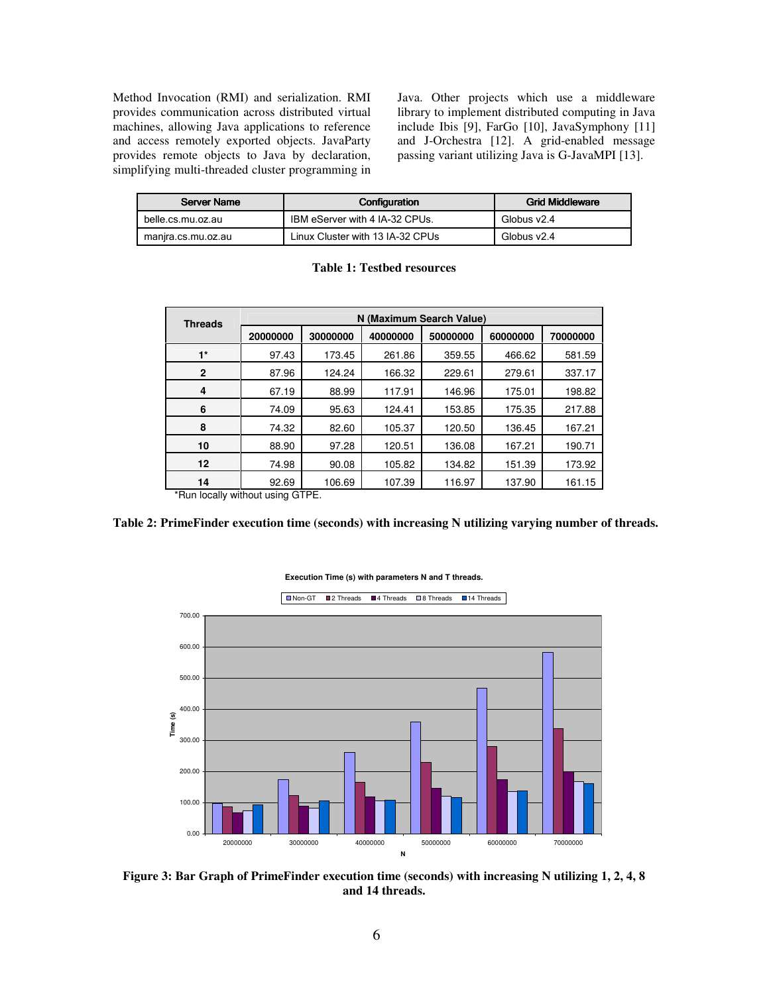Method Invocation (RMI) and serialization. RMI provides communication across distributed virtual machines, allowing Java applications to reference and access remotely exported objects. JavaParty provides remote objects to Java by declaration, simplifying multi-threaded cluster programming in Java. Other projects which use a middleware library to implement distributed computing in Java include Ibis [9], FarGo [10], JavaSymphony [11] and J-Orchestra [12]. A grid-enabled message passing variant utilizing Java is G-JavaMPI [13].

| Server Name        | Configuration                    | <b>Grid Middleware</b> |  |
|--------------------|----------------------------------|------------------------|--|
| belle.cs.mu.oz.au  | IBM eServer with 4 IA-32 CPUs.   | Globus v2.4            |  |
| manira.cs.mu.oz.au | Linux Cluster with 13 IA-32 CPUs | Globus v2.4            |  |

| <b>Threads</b>                    | N (Maximum Search Value) |          |          |          |          |          |  |
|-----------------------------------|--------------------------|----------|----------|----------|----------|----------|--|
|                                   | 20000000                 | 30000000 | 40000000 | 50000000 | 60000000 | 70000000 |  |
| $1^*$                             | 97.43                    | 173.45   | 261.86   | 359.55   | 466.62   | 581.59   |  |
| 2                                 | 87.96                    | 124.24   | 166.32   | 229.61   | 279.61   | 337.17   |  |
| 4                                 | 67.19                    | 88.99    | 117.91   | 146.96   | 175.01   | 198.82   |  |
| 6                                 | 74.09                    | 95.63    | 124.41   | 153.85   | 175.35   | 217.88   |  |
| 8                                 | 74.32                    | 82.60    | 105.37   | 120.50   | 136.45   | 167.21   |  |
| 10                                | 88.90                    | 97.28    | 120.51   | 136.08   | 167.21   | 190.71   |  |
| 12                                | 74.98                    | 90.08    | 105.82   | 134.82   | 151.39   | 173.92   |  |
| 14                                | 92.69                    | 106.69   | 107.39   | 116.97   | 137.90   | 161.15   |  |
| $*$ Dun Loodhu without uning CTDE |                          |          |          |          |          |          |  |

**Table 1: Testbed resources** 

\*Run locally without using GTPE.

#### **Table 2: PrimeFinder execution time (seconds) with increasing N utilizing varying number of threads.**



**Execution Time (s) with parameters N and T threads.**

**Figure 3: Bar Graph of PrimeFinder execution time (seconds) with increasing N utilizing 1, 2, 4, 8 and 14 threads.**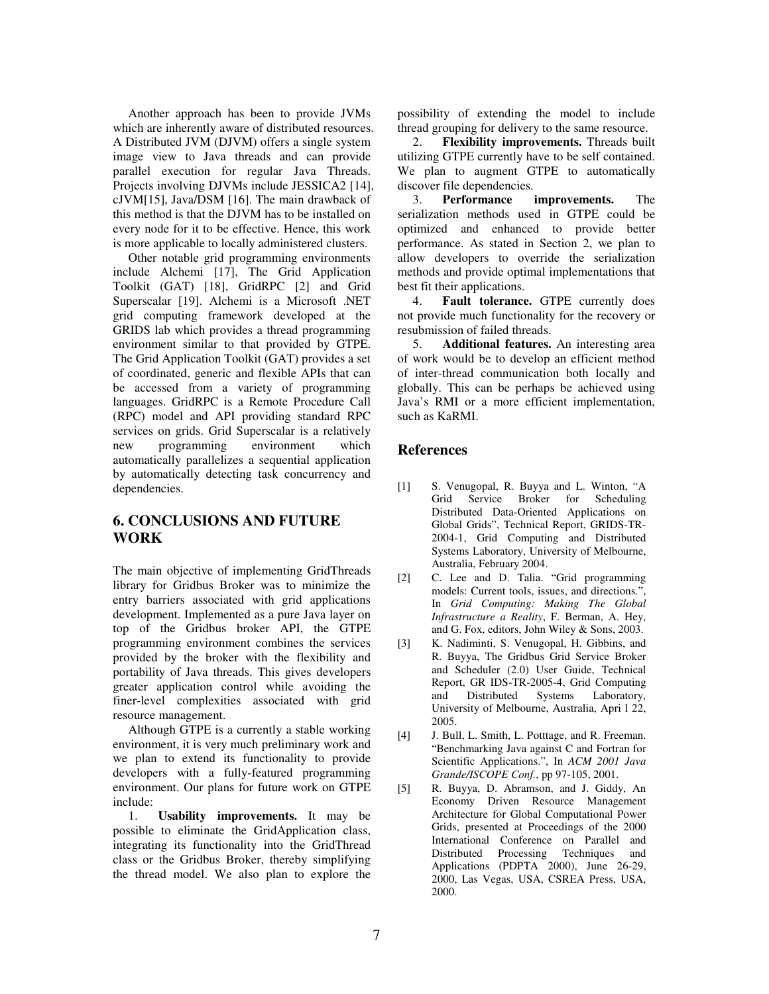Another approach has been to provide JVMs which are inherently aware of distributed resources. A Distributed JVM (DJVM) offers a single system image view to Java threads and can provide parallel execution for regular Java Threads. Projects involving DJVMs include JESSICA2 [14], cJVM[15], Java/DSM [16]. The main drawback of this method is that the DJVM has to be installed on every node for it to be effective. Hence, this work is more applicable to locally administered clusters.

Other notable grid programming environments include Alchemi [17], The Grid Application Toolkit (GAT) [18], GridRPC [2] and Grid Superscalar [19]. Alchemi is a Microsoft .NET grid computing framework developed at the GRIDS lab which provides a thread programming environment similar to that provided by GTPE. The Grid Application Toolkit (GAT) provides a set of coordinated, generic and flexible APIs that can be accessed from a variety of programming languages. GridRPC is a Remote Procedure Call (RPC) model and API providing standard RPC services on grids. Grid Superscalar is a relatively new programming environment which automatically parallelizes a sequential application by automatically detecting task concurrency and dependencies.

# **6. CONCLUSIONS AND FUTURE WORK**

The main objective of implementing GridThreads library for Gridbus Broker was to minimize the entry barriers associated with grid applications development. Implemented as a pure Java layer on top of the Gridbus broker API, the GTPE programming environment combines the services provided by the broker with the flexibility and portability of Java threads. This gives developers greater application control while avoiding the finer-level complexities associated with grid resource management.

Although GTPE is a currently a stable working environment, it is very much preliminary work and we plan to extend its functionality to provide developers with a fully-featured programming environment. Our plans for future work on GTPE include:

1. **Usability improvements.** It may be possible to eliminate the GridApplication class, integrating its functionality into the GridThread class or the Gridbus Broker, thereby simplifying the thread model. We also plan to explore the

possibility of extending the model to include thread grouping for delivery to the same resource.

2. **Flexibility improvements.** Threads built utilizing GTPE currently have to be self contained. We plan to augment GTPE to automatically discover file dependencies.

3. **Performance improvements.** The serialization methods used in GTPE could be optimized and enhanced to provide better performance. As stated in Section 2, we plan to allow developers to override the serialization methods and provide optimal implementations that best fit their applications.

4. **Fault tolerance.** GTPE currently does not provide much functionality for the recovery or resubmission of failed threads.

5. **Additional features.** An interesting area of work would be to develop an efficient method of inter-thread communication both locally and globally. This can be perhaps be achieved using Java's RMI or a more efficient implementation, such as KaRMI.

## **References**

- [1] S. Venugopal, R. Buyya and L. Winton, "A Grid Service Broker for Scheduling Distributed Data-Oriented Applications on Global Grids", Technical Report, GRIDS-TR-2004-1, Grid Computing and Distributed Systems Laboratory, University of Melbourne, Australia, February 2004.
- [2] C. Lee and D. Talia. "Grid programming models: Current tools, issues, and directions*.*", In *Grid Computing: Making The Global Infrastructure a Reality*, F. Berman, A. Hey, and G. Fox, editors, John Wiley & Sons, 2003.
- [3] K. Nadiminti, S. Venugopal, H. Gibbins, and R. Buyya, The Gridbus Grid Service Broker and Scheduler (2.0) User Guide, Technical Report, GR IDS-TR-2005-4, Grid Computing<br>and Distributed Systems Laboratory, and Distributed University of Melbourne, Australia, Apri l 22, 2005.
- [4] J. Bull, L. Smith, L. Potttage, and R. Freeman. "Benchmarking Java against C and Fortran for Scientific Applications.", In *ACM 2001 Java Grande/ISCOPE Conf.*, pp 97-105, 2001.
- [5] R. Buyya, D. Abramson, and J. Giddy, An Economy Driven Resource Management Architecture for Global Computational Power Grids, presented at Proceedings of the 2000 International Conference on Parallel and Distributed Processing Techniques and Applications (PDPTA 2000), June 26-29, 2000, Las Vegas, USA, CSREA Press, USA, 2000.